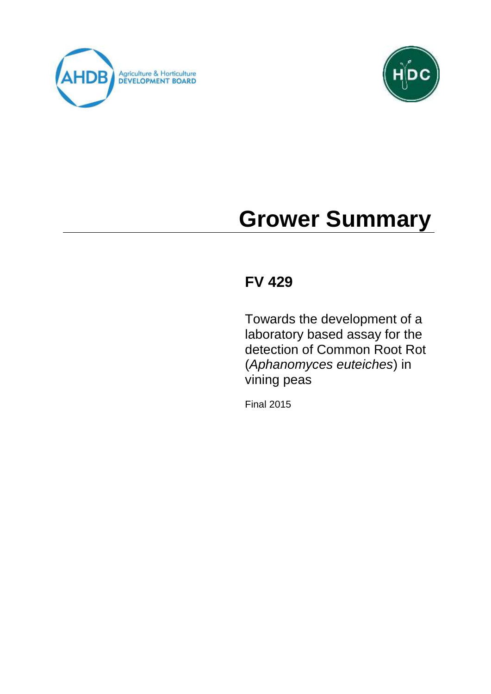



# **Grower Summary**

# **FV 429**

Towards the development of a laboratory based assay for the detection of Common Root Rot (*Aphanomyces euteiches*) in vining peas

Final 2015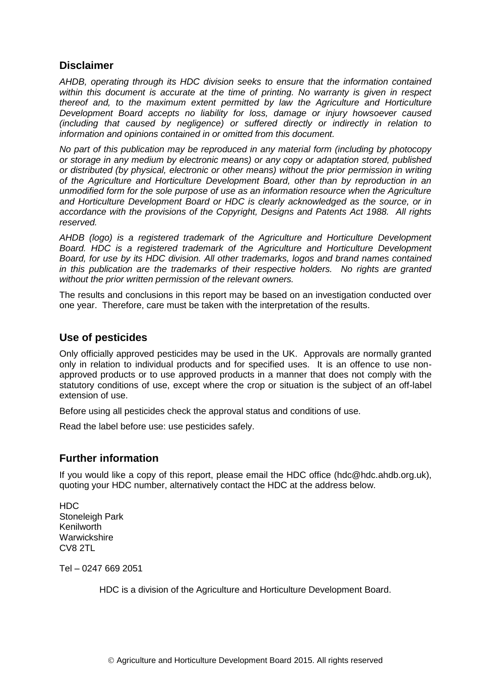# **Disclaimer**

*AHDB, operating through its HDC division seeks to ensure that the information contained within this document is accurate at the time of printing. No warranty is given in respect thereof and, to the maximum extent permitted by law the Agriculture and Horticulture Development Board accepts no liability for loss, damage or injury howsoever caused (including that caused by negligence) or suffered directly or indirectly in relation to information and opinions contained in or omitted from this document.* 

*No part of this publication may be reproduced in any material form (including by photocopy or storage in any medium by electronic means) or any copy or adaptation stored, published or distributed (by physical, electronic or other means) without the prior permission in writing of the Agriculture and Horticulture Development Board, other than by reproduction in an unmodified form for the sole purpose of use as an information resource when the Agriculture and Horticulture Development Board or HDC is clearly acknowledged as the source, or in accordance with the provisions of the Copyright, Designs and Patents Act 1988. All rights reserved.* 

*AHDB (logo) is a registered trademark of the Agriculture and Horticulture Development Board. HDC is a registered trademark of the Agriculture and Horticulture Development Board, for use by its HDC division. All other trademarks, logos and brand names contained in this publication are the trademarks of their respective holders. No rights are granted without the prior written permission of the relevant owners.*

The results and conclusions in this report may be based on an investigation conducted over one year. Therefore, care must be taken with the interpretation of the results.

#### **Use of pesticides**

Only officially approved pesticides may be used in the UK. Approvals are normally granted only in relation to individual products and for specified uses. It is an offence to use nonapproved products or to use approved products in a manner that does not comply with the statutory conditions of use, except where the crop or situation is the subject of an off-label extension of use.

Before using all pesticides check the approval status and conditions of use.

Read the label before use: use pesticides safely.

# **Further information**

If you would like a copy of this report, please email the HDC office (hdc@hdc.ahdb.org.uk), quoting your HDC number, alternatively contact the HDC at the address below.

HDC Stoneleigh Park Kenilworth **Warwickshire** CV8 2TL

Tel – 0247 669 2051

HDC is a division of the Agriculture and Horticulture Development Board.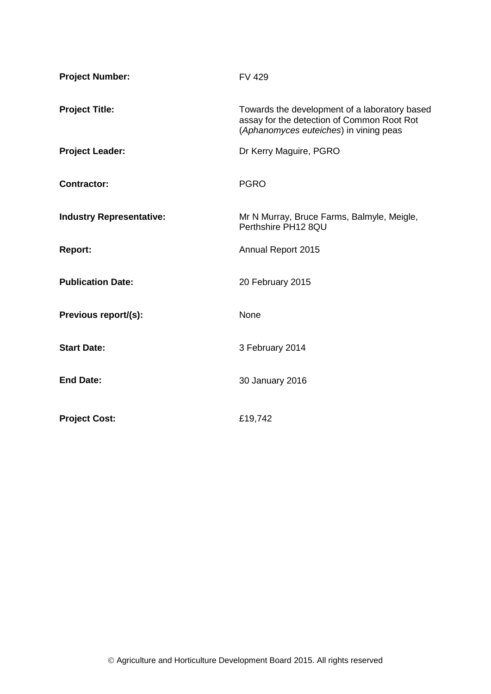| <b>Project Number:</b>          | <b>FV 429</b>                                                                                                                         |
|---------------------------------|---------------------------------------------------------------------------------------------------------------------------------------|
| <b>Project Title:</b>           | Towards the development of a laboratory based<br>assay for the detection of Common Root Rot<br>(Aphanomyces euteiches) in vining peas |
| <b>Project Leader:</b>          | Dr Kerry Maguire, PGRO                                                                                                                |
| <b>Contractor:</b>              | <b>PGRO</b>                                                                                                                           |
| <b>Industry Representative:</b> | Mr N Murray, Bruce Farms, Balmyle, Meigle,<br>Perthshire PH12 8QU                                                                     |
| <b>Report:</b>                  | Annual Report 2015                                                                                                                    |
| <b>Publication Date:</b>        | 20 February 2015                                                                                                                      |
| Previous report/(s):            | None                                                                                                                                  |
| <b>Start Date:</b>              | 3 February 2014                                                                                                                       |
| <b>End Date:</b>                | 30 January 2016                                                                                                                       |
| <b>Project Cost:</b>            | £19,742                                                                                                                               |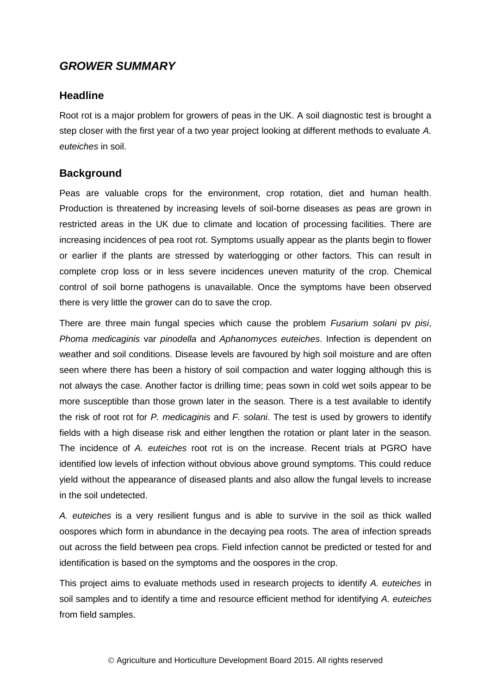# *GROWER SUMMARY*

#### **Headline**

Root rot is a major problem for growers of peas in the UK. A soil diagnostic test is brought a step closer with the first year of a two year project looking at different methods to evaluate *A. euteiches* in soil.

#### **Background**

Peas are valuable crops for the environment, crop rotation, diet and human health. Production is threatened by increasing levels of soil-borne diseases as peas are grown in restricted areas in the UK due to climate and location of processing facilities. There are increasing incidences of pea root rot. Symptoms usually appear as the plants begin to flower or earlier if the plants are stressed by waterlogging or other factors. This can result in complete crop loss or in less severe incidences uneven maturity of the crop. Chemical control of soil borne pathogens is unavailable. Once the symptoms have been observed there is very little the grower can do to save the crop.

There are three main fungal species which cause the problem *Fusarium solani* pv *pisi*, *Phoma medicaginis* var *pinodella* and *Aphanomyces euteiches*. Infection is dependent on weather and soil conditions. Disease levels are favoured by high soil moisture and are often seen where there has been a history of soil compaction and water logging although this is not always the case. Another factor is drilling time; peas sown in cold wet soils appear to be more susceptible than those grown later in the season. There is a test available to identify the risk of root rot for *P. medicaginis* and *F. solani*. The test is used by growers to identify fields with a high disease risk and either lengthen the rotation or plant later in the season. The incidence of *A. euteiches* root rot is on the increase. Recent trials at PGRO have identified low levels of infection without obvious above ground symptoms. This could reduce yield without the appearance of diseased plants and also allow the fungal levels to increase in the soil undetected.

*A. euteiches* is a very resilient fungus and is able to survive in the soil as thick walled oospores which form in abundance in the decaying pea roots. The area of infection spreads out across the field between pea crops. Field infection cannot be predicted or tested for and identification is based on the symptoms and the oospores in the crop.

This project aims to evaluate methods used in research projects to identify *A. euteiches* in soil samples and to identify a time and resource efficient method for identifying *A. euteiches* from field samples.